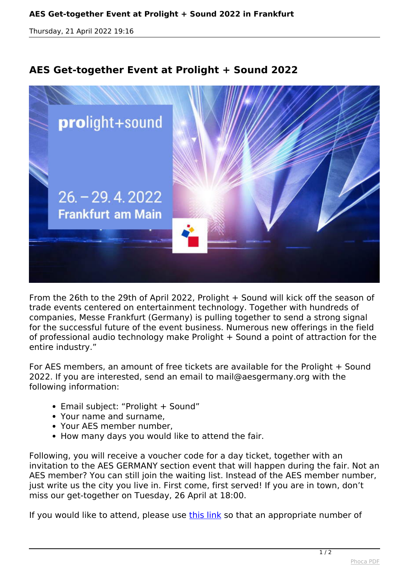*Thursday, 21 April 2022 19:16*

## **AES Get-together Event at Prolight + Sound 2022**



*From the 26th to the 29th of April 2022, Prolight + Sound will kick off the season of trade events centered on entertainment technology. Together with hundreds of companies, Messe Frankfurt (Germany) is pulling together to send a strong signal for the successful future of the event business. Numerous new offerings in the field of professional audio technology make Prolight + Sound a point of attraction for the entire industry."*

*For AES members, an amount of free tickets are available for the Prolight + Sound 2022. If you are interested, send an email to mail@aesgermany.org with the following information:*

- *Email subject: "Prolight + Sound"*
- *Your name and surname,*
- *Your AES member number,*
- *How many days you would like to attend the fair.*

*Following, you will receive a voucher code for a day ticket, together with an invitation to the AES GERMANY section event that will happen during the fair. Not an AES member? You can still join the waiting list. Instead of the AES member number, just write us the city you live in. First come, first served! If you are in town, don't miss our get-together on Tuesday, 26 April at 18:00.*

*If you would like to attend, please use [this link](https://docs.google.com/spreadsheets/d/1vdCS7zoyYmG7H11GY-UJ90ppEXJYx1RCjV_ckZGx_P0/edit?usp=sharing) so that an appropriate number of*